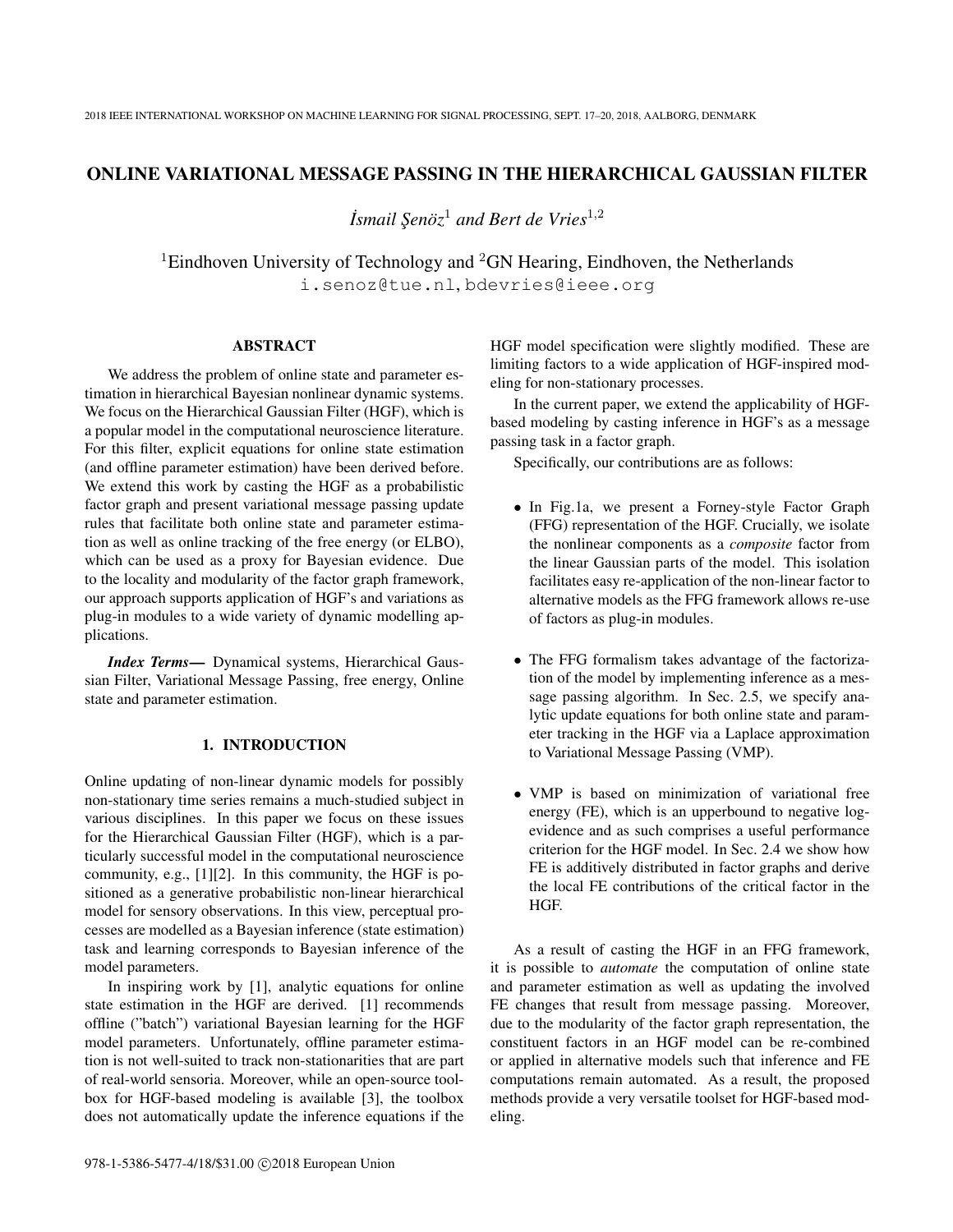# ONLINE VARIATIONAL MESSAGE PASSING IN THE HIERARCHICAL GAUSSIAN FILTER

*˙Ismail S¸enoz¨* <sup>1</sup> *and Bert de Vries*<sup>1</sup>,<sup>2</sup>

<sup>1</sup>Eindhoven University of Technology and <sup>2</sup>GN Hearing, Eindhoven, the Netherlands i.senoz@tue.nl, bdevries@ieee.org

## ABSTRACT

We address the problem of online state and parameter estimation in hierarchical Bayesian nonlinear dynamic systems. We focus on the Hierarchical Gaussian Filter (HGF), which is a popular model in the computational neuroscience literature. For this filter, explicit equations for online state estimation (and offline parameter estimation) have been derived before. We extend this work by casting the HGF as a probabilistic factor graph and present variational message passing update rules that facilitate both online state and parameter estimation as well as online tracking of the free energy (or ELBO), which can be used as a proxy for Bayesian evidence. Due to the locality and modularity of the factor graph framework, our approach supports application of HGF's and variations as plug-in modules to a wide variety of dynamic modelling applications.

*Index Terms*— Dynamical systems, Hierarchical Gaussian Filter, Variational Message Passing, free energy, Online state and parameter estimation.

# 1. INTRODUCTION

Online updating of non-linear dynamic models for possibly non-stationary time series remains a much-studied subject in various disciplines. In this paper we focus on these issues for the Hierarchical Gaussian Filter (HGF), which is a particularly successful model in the computational neuroscience community, e.g., [1][2]. In this community, the HGF is positioned as a generative probabilistic non-linear hierarchical model for sensory observations. In this view, perceptual processes are modelled as a Bayesian inference (state estimation) task and learning corresponds to Bayesian inference of the model parameters.

In inspiring work by [1], analytic equations for online state estimation in the HGF are derived. [1] recommends offline ("batch") variational Bayesian learning for the HGF model parameters. Unfortunately, offline parameter estimation is not well-suited to track non-stationarities that are part of real-world sensoria. Moreover, while an open-source toolbox for HGF-based modeling is available [3], the toolbox does not automatically update the inference equations if the HGF model specification were slightly modified. These are limiting factors to a wide application of HGF-inspired modeling for non-stationary processes.

In the current paper, we extend the applicability of HGFbased modeling by casting inference in HGF's as a message passing task in a factor graph.

Specifically, our contributions are as follows:

- In Fig.1a, we present a Forney-style Factor Graph (FFG) representation of the HGF. Crucially, we isolate the nonlinear components as a *composite* factor from the linear Gaussian parts of the model. This isolation facilitates easy re-application of the non-linear factor to alternative models as the FFG framework allows re-use of factors as plug-in modules.
- The FFG formalism takes advantage of the factorization of the model by implementing inference as a message passing algorithm. In Sec. 2.5, we specify analytic update equations for both online state and parameter tracking in the HGF via a Laplace approximation to Variational Message Passing (VMP).
- VMP is based on minimization of variational free energy (FE), which is an upperbound to negative logevidence and as such comprises a useful performance criterion for the HGF model. In Sec. 2.4 we show how FE is additively distributed in factor graphs and derive the local FE contributions of the critical factor in the HGF.

As a result of casting the HGF in an FFG framework, it is possible to *automate* the computation of online state and parameter estimation as well as updating the involved FE changes that result from message passing. Moreover, due to the modularity of the factor graph representation, the constituent factors in an HGF model can be re-combined or applied in alternative models such that inference and FE computations remain automated. As a result, the proposed methods provide a very versatile toolset for HGF-based modeling.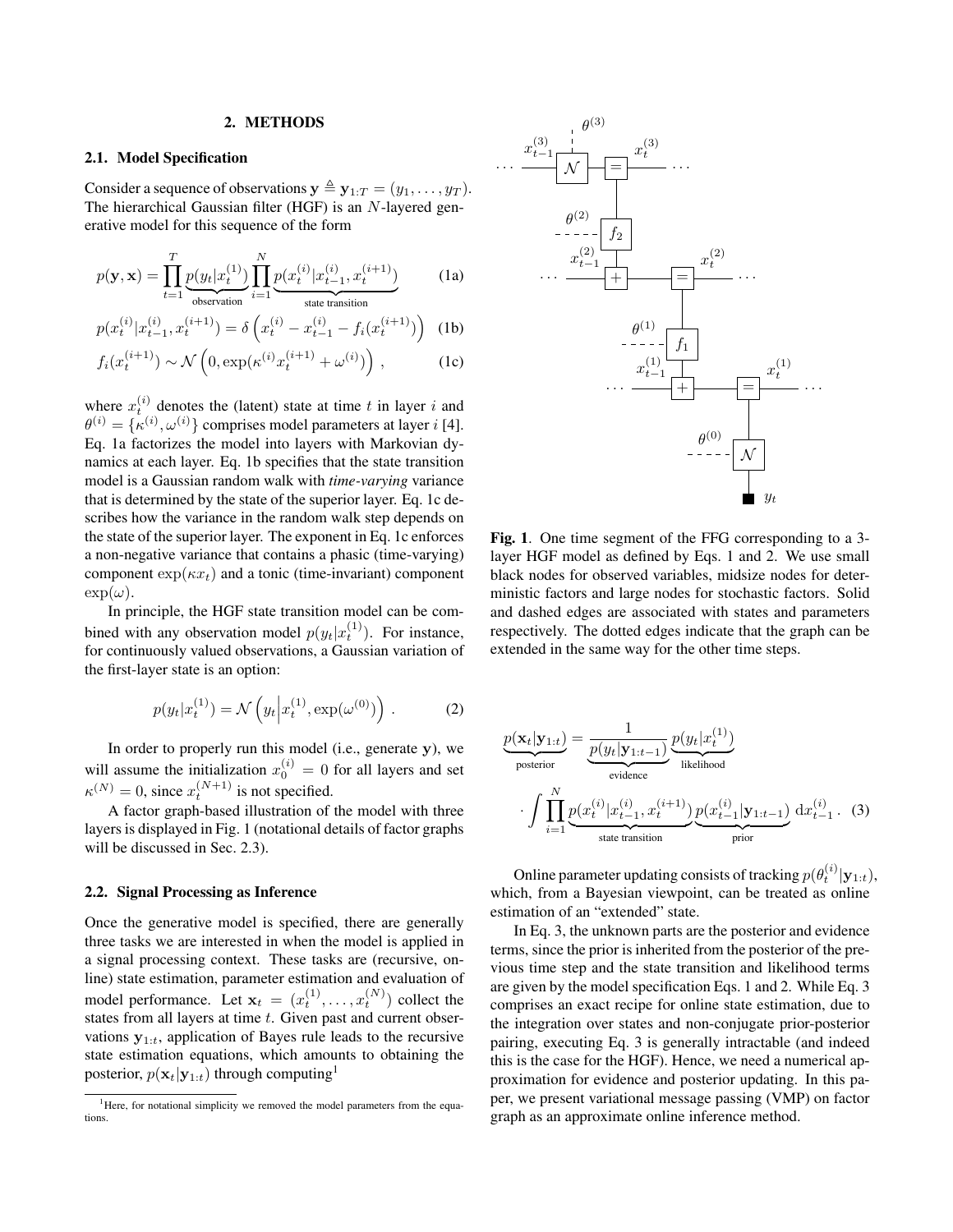#### 2. METHODS

### 2.1. Model Specification

Consider a sequence of observations  $y \triangleq y_{1:T} = (y_1, \ldots, y_T)$ . The hierarchical Gaussian filter (HGF) is an N-layered generative model for this sequence of the form

$$
p(\mathbf{y}, \mathbf{x}) = \prod_{t=1}^{T} \underbrace{p(y_t | x_t^{(1)})}_{\text{observation}} \prod_{i=1}^{N} \underbrace{p(x_t^{(i)} | x_{t-1}^{(i)}, x_t^{(i+1)})}_{\text{state transition}} \tag{1a}
$$

$$
p(x_t^{(i)} | x_{t-1}^{(i)}, x_t^{(i+1)}) = \delta \left( x_t^{(i)} - x_{t-1}^{(i)} - f_i(x_t^{(i+1)}) \right)
$$
 (1b)

$$
f_i(x_t^{(i+1)}) \sim \mathcal{N}\left(0, \exp(\kappa^{(i)} x_t^{(i+1)} + \omega^{(i)})\right),\tag{1c}
$$

where  $x_t^{(i)}$  denotes the (latent) state at time t in layer i and  $\theta^{(i)} = \{\kappa^{(i)}, \omega^{(i)}\}$  comprises model parameters at layer *i* [4]. Eq. 1a factorizes the model into layers with Markovian dynamics at each layer. Eq. 1b specifies that the state transition model is a Gaussian random walk with *time-varying* variance that is determined by the state of the superior layer. Eq. 1c describes how the variance in the random walk step depends on the state of the superior layer. The exponent in Eq. 1c enforces a non-negative variance that contains a phasic (time-varying) component  $\exp(\kappa x_t)$  and a tonic (time-invariant) component  $\exp(\omega)$ .

In principle, the HGF state transition model can be combined with any observation model  $p(y_t|x_t^{(1)})$ . For instance, for continuously valued observations, a Gaussian variation of the first-layer state is an option:

$$
p(y_t|x_t^{(1)}) = \mathcal{N}\left(y_t\Big|x_t^{(1)}, \exp(\omega^{(0)})\right). \tag{2}
$$

In order to properly run this model (i.e., generate y), we will assume the initialization  $x_0^{(i)} = 0$  for all layers and set  $\kappa^{(N)} = 0$ , since  $x_t^{(N+1)}$  is not specified.

A factor graph-based illustration of the model with three layers is displayed in Fig. 1 (notational details of factor graphs will be discussed in Sec. 2.3).

#### 2.2. Signal Processing as Inference

Once the generative model is specified, there are generally three tasks we are interested in when the model is applied in a signal processing context. These tasks are (recursive, online) state estimation, parameter estimation and evaluation of model performance. Let  $\mathbf{x}_t = (x_t^{(1)}, \dots, x_t^{(N)})$  collect the states from all layers at time  $t$ . Given past and current observations  $y_{1:t}$ , application of Bayes rule leads to the recursive state estimation equations, which amounts to obtaining the posterior,  $p(\mathbf{x}_t|\mathbf{y}_{1:t})$  through computing<sup>1</sup>



Fig. 1. One time segment of the FFG corresponding to a 3 layer HGF model as defined by Eqs. 1 and 2. We use small black nodes for observed variables, midsize nodes for deterministic factors and large nodes for stochastic factors. Solid and dashed edges are associated with states and parameters respectively. The dotted edges indicate that the graph can be extended in the same way for the other time steps.

$$
\underline{p(\mathbf{x}_t|\mathbf{y}_{1:t})} = \underbrace{\frac{1}{p(y_t|\mathbf{y}_{1:t-1})} \underbrace{p(y_t|x_t^{(1)})}_{\text{likelihood}}}_{\text{evidence}} \cdot \int \prod_{i=1}^N \underbrace{p(x_t^{(i)}|x_{t-1}^{(i)}, x_t^{(i+1)})}_{\text{state transition}} \underbrace{p(x_{t-1}^{(i)}|\mathbf{y}_{1:t-1})}_{\text{prior}} dx_{t-1}^{(i)}.
$$
 (3)

Online parameter updating consists of tracking  $p(\theta_t^{(i)} | \mathbf{y}_{1:t}),$ which, from a Bayesian viewpoint, can be treated as online estimation of an "extended" state.

In Eq. 3, the unknown parts are the posterior and evidence terms, since the prior is inherited from the posterior of the previous time step and the state transition and likelihood terms are given by the model specification Eqs. 1 and 2. While Eq. 3 comprises an exact recipe for online state estimation, due to the integration over states and non-conjugate prior-posterior pairing, executing Eq. 3 is generally intractable (and indeed this is the case for the HGF). Hence, we need a numerical approximation for evidence and posterior updating. In this paper, we present variational message passing (VMP) on factor graph as an approximate online inference method.

<sup>&</sup>lt;sup>1</sup>Here, for notational simplicity we removed the model parameters from the equations.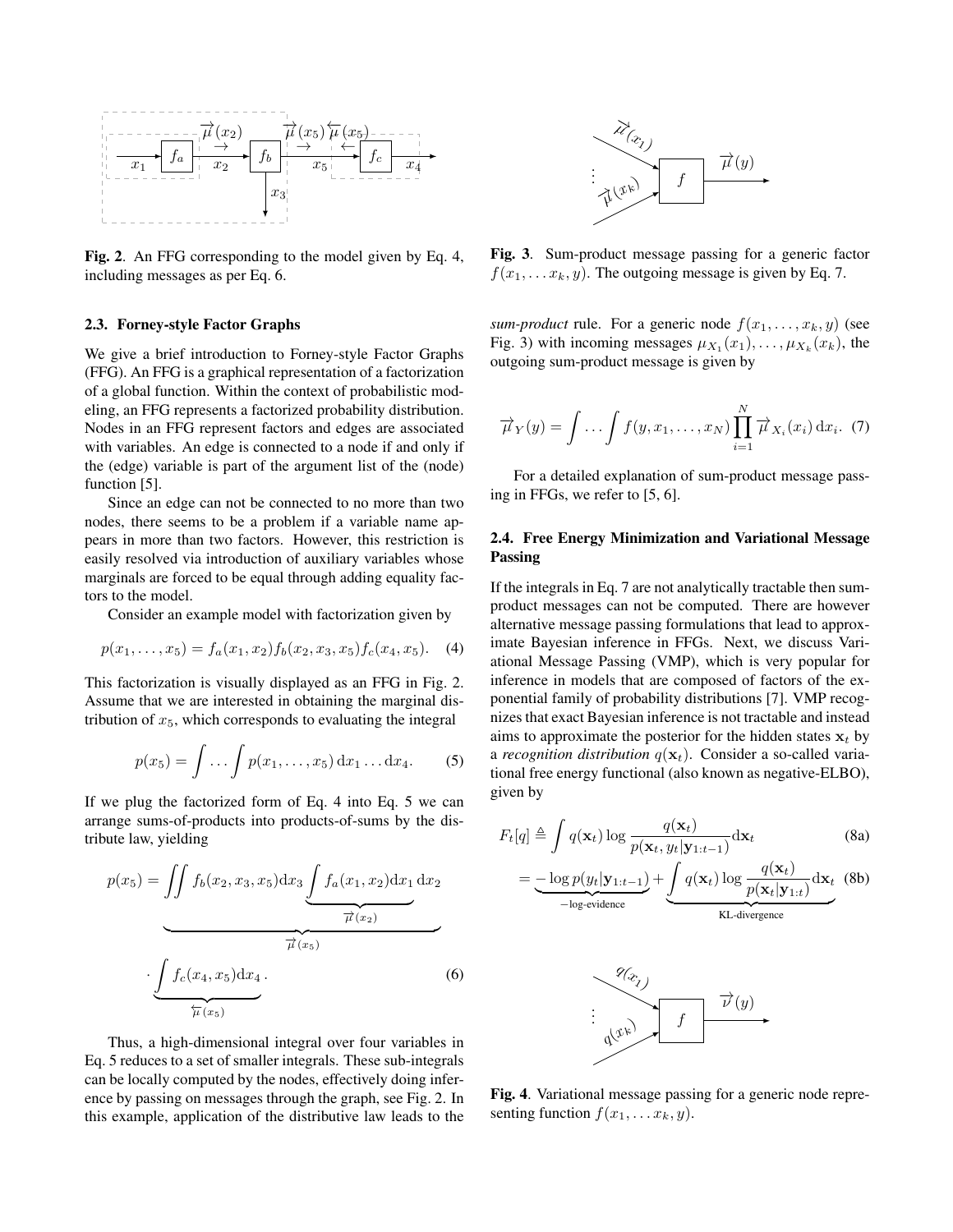

Fig. 2. An FFG corresponding to the model given by Eq. 4, including messages as per Eq. 6.

### 2.3. Forney-style Factor Graphs

We give a brief introduction to Forney-style Factor Graphs (FFG). An FFG is a graphical representation of a factorization of a global function. Within the context of probabilistic modeling, an FFG represents a factorized probability distribution. Nodes in an FFG represent factors and edges are associated with variables. An edge is connected to a node if and only if the (edge) variable is part of the argument list of the (node) function [5].

Since an edge can not be connected to no more than two nodes, there seems to be a problem if a variable name appears in more than two factors. However, this restriction is easily resolved via introduction of auxiliary variables whose marginals are forced to be equal through adding equality factors to the model.

Consider an example model with factorization given by

$$
p(x_1, \ldots, x_5) = f_a(x_1, x_2) f_b(x_2, x_3, x_5) f_c(x_4, x_5). \quad (4)
$$

This factorization is visually displayed as an FFG in Fig. 2. Assume that we are interested in obtaining the marginal distribution of  $x<sub>5</sub>$ , which corresponds to evaluating the integral

$$
p(x_5) = \int \dots \int p(x_1, \dots, x_5) dx_1 \dots dx_4.
$$
 (5)

If we plug the factorized form of Eq. 4 into Eq. 5 we can arrange sums-of-products into products-of-sums by the distribute law, yielding

$$
p(x_5) = \iint f_b(x_2, x_3, x_5) dx_3 \underbrace{\int f_a(x_1, x_2) dx_1}_{\overrightarrow{\mu}(x_2)} dx_2
$$

$$
\underbrace{\int f_c(x_4, x_5) dx_4}_{\overleftarrow{\mu}(x_5)}.
$$
(6)

Thus, a high-dimensional integral over four variables in Eq. 5 reduces to a set of smaller integrals. These sub-integrals can be locally computed by the nodes, effectively doing inference by passing on messages through the graph, see Fig. 2. In this example, application of the distributive law leads to the



Fig. 3. Sum-product message passing for a generic factor  $f(x_1, \ldots, x_k, y)$ . The outgoing message is given by Eq. 7.

*sum-product* rule. For a generic node  $f(x_1, \ldots, x_k, y)$  (see Fig. 3) with incoming messages  $\mu_{X_1}(x_1), \ldots, \mu_{X_k}(x_k)$ , the outgoing sum-product message is given by

$$
\overrightarrow{\mu}_Y(y) = \int \ldots \int f(y, x_1, \ldots, x_N) \prod_{i=1}^N \overrightarrow{\mu}_{X_i}(x_i) dx_i.
$$
 (7)

For a detailed explanation of sum-product message passing in FFGs, we refer to [5, 6].

## 2.4. Free Energy Minimization and Variational Message Passing

If the integrals in Eq. 7 are not analytically tractable then sumproduct messages can not be computed. There are however alternative message passing formulations that lead to approximate Bayesian inference in FFGs. Next, we discuss Variational Message Passing (VMP), which is very popular for inference in models that are composed of factors of the exponential family of probability distributions [7]. VMP recognizes that exact Bayesian inference is not tractable and instead aims to approximate the posterior for the hidden states  $x_t$  by a *recognition distribution*  $q(\mathbf{x}_t)$ . Consider a so-called variational free energy functional (also known as negative-ELBO), given by

$$
F_t[q] \triangleq \int q(\mathbf{x}_t) \log \frac{q(\mathbf{x}_t)}{p(\mathbf{x}_t, y_t | \mathbf{y}_{1:t-1})} d\mathbf{x}_t
$$
\n
$$
= -\log p(y_t | \mathbf{y}_{1:t-1}) + \int q(\mathbf{x}_t) \log \frac{q(\mathbf{x}_t)}{p(\mathbf{x}_t | \mathbf{y}_{1:t-1})} d\mathbf{x}_t
$$
\n(8b)

$$
= -\frac{\log p(y_t|\mathbf{y}_{1:t-1})}{-\log\text{-evidence}} + \underbrace{\int q(\mathbf{x}_t) \log \frac{q(\mathbf{x}_t)}{p(\mathbf{x}_t|\mathbf{y}_{1:t})} d\mathbf{x}_t}_{\text{KL-divergence}} \quad (8b)
$$



Fig. 4. Variational message passing for a generic node representing function  $f(x_1, \ldots, x_k, y)$ .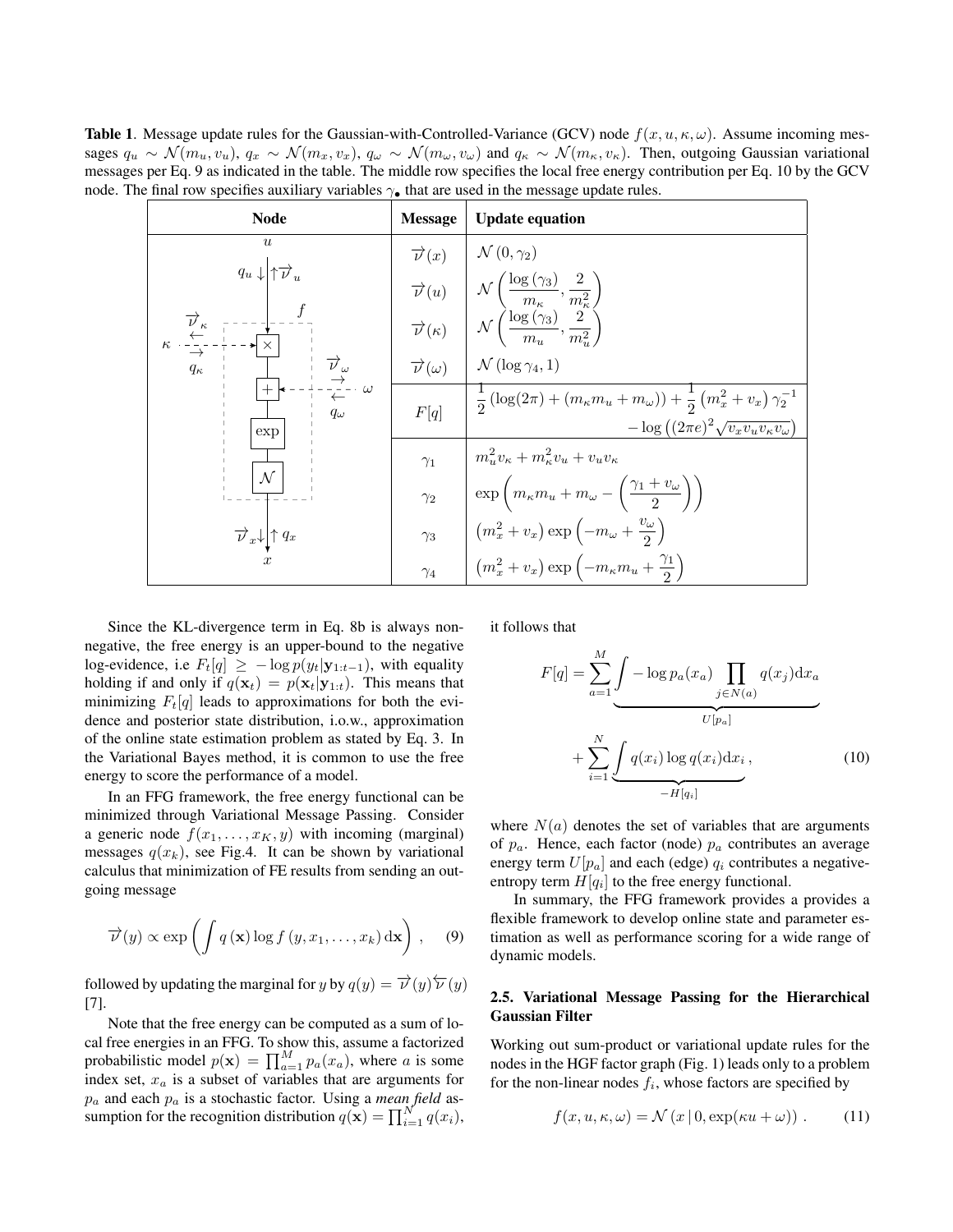**Table 1.** Message update rules for the Gaussian-with-Controlled-Variance (GCV) node  $f(x, u, \kappa, \omega)$ . Assume incoming messages  $q_u \sim \mathcal{N}(m_u, v_u)$ ,  $q_x \sim \mathcal{N}(m_x, v_x)$ ,  $q_\omega \sim \mathcal{N}(m_\omega, v_\omega)$  and  $q_\kappa \sim \mathcal{N}(m_\kappa, v_\kappa)$ . Then, outgoing Gaussian variational messages per Eq. 9 as indicated in the table. The middle row specifies the local free energy contribution per Eq. 10 by the GCV node. The final row specifies auxiliary variables  $\gamma_{\bullet}$  that are used in the message update rules.

| <b>Node</b>                                                                                                                                                                                                                                                                                                                                                                                | <b>Message</b>            | <b>Update equation</b>                                                                                                                                                                                                                                                                                                                |
|--------------------------------------------------------------------------------------------------------------------------------------------------------------------------------------------------------------------------------------------------------------------------------------------------------------------------------------------------------------------------------------------|---------------------------|---------------------------------------------------------------------------------------------------------------------------------------------------------------------------------------------------------------------------------------------------------------------------------------------------------------------------------------|
| $\boldsymbol{u}$<br>$q_u \downarrow \uparrow \overrightarrow{v}_u$<br>$\overrightarrow{\nu}_{\kappa} = -$<br>$\overleftarrow{\kappa} \cdot \frac{1}{1 - 1}$<br>$\star \times$<br>$\begin{array}{c}\overrightarrow{\nu}_{\omega} \\ \overrightarrow{\rightarrow} \\ \overleftarrow{\leftarrow} \end{array}$<br>$q_{\kappa}$<br>$\cdot \cdot \omega$<br>$q_{\omega}$<br>exp<br>$\mathcal{N}$ | $\overrightarrow{\nu}(x)$ | $\mathcal{N}(0,\gamma_2)$                                                                                                                                                                                                                                                                                                             |
|                                                                                                                                                                                                                                                                                                                                                                                            |                           | $\begin{array}{c c} \displaystyle \overrightarrow{\nu}(u) & \left  \begin{array}{c} \mathcal{N}\left(\frac{\log\left(\gamma_3\right)}{m_\kappa}, \frac{2}{m_\kappa^2}\right) \\ \hline \overrightarrow{\nu}(\kappa) & \mathcal{N}\left(\frac{\log\left(\gamma_3\right)}{m_u}, \frac{2}{m_u^2}\right) \end{array} \right. \end{array}$ |
|                                                                                                                                                                                                                                                                                                                                                                                            |                           |                                                                                                                                                                                                                                                                                                                                       |
|                                                                                                                                                                                                                                                                                                                                                                                            |                           | $\vec{\nu}(\omega)$ $\Delta \mathcal{N}(\log \gamma_4, 1)$                                                                                                                                                                                                                                                                            |
|                                                                                                                                                                                                                                                                                                                                                                                            | F[q]                      | $\frac{1}{2} \left( \log(2\pi) + (m_{\kappa} m_u + m_{\omega}) \right) + \frac{1}{2} \left( m_x^2 + v_x \right) \gamma_2^{-1}$<br>$-\log((2\pi e)^2\sqrt{v_xv_uv_kv_\kappa v_\omega})$                                                                                                                                                |
|                                                                                                                                                                                                                                                                                                                                                                                            | $\gamma_1$                | $m_{u}^{2}v_{\kappa}+m_{\kappa}^{2}v_{u}+v_{u}v_{\kappa}$                                                                                                                                                                                                                                                                             |
|                                                                                                                                                                                                                                                                                                                                                                                            | $\gamma_2$                | $\exp\left(m_{\kappa}m_{u}+m_{\omega}-\left(\frac{\gamma_{1}+v_{\omega}}{2}\right)\right)$                                                                                                                                                                                                                                            |
| $\overrightarrow{\nu}_x\downarrow\uparrow q_x$                                                                                                                                                                                                                                                                                                                                             | $\gamma_3$                | $\left( m_x^2 + v_x \right) \exp \left( -m_\omega + \frac{v_\omega}{2} \right)$                                                                                                                                                                                                                                                       |
|                                                                                                                                                                                                                                                                                                                                                                                            | $\gamma_4$                | $\left(m_x^2 + v_x\right) \exp\left(-m_\kappa m_u + \frac{\gamma_1}{2}\right)$                                                                                                                                                                                                                                                        |

Since the KL-divergence term in Eq. 8b is always nonnegative, the free energy is an upper-bound to the negative log-evidence, i.e  $F_t[q] \geq -\log p(y_t|\mathbf{y}_{1:t-1})$ , with equality holding if and only if  $q(\mathbf{x}_t) = p(\mathbf{x}_t | \mathbf{y}_{1:t})$ . This means that minimizing  $F_t[q]$  leads to approximations for both the evidence and posterior state distribution, i.o.w., approximation of the online state estimation problem as stated by Eq. 3. In the Variational Bayes method, it is common to use the free energy to score the performance of a model.

In an FFG framework, the free energy functional can be minimized through Variational Message Passing. Consider a generic node  $f(x_1, \ldots, x_K, y)$  with incoming (marginal) messages  $q(x_k)$ , see Fig.4. It can be shown by variational calculus that minimization of FE results from sending an outgoing message

$$
\overrightarrow{\nu}(y) \propto \exp\left(\int q(\mathbf{x}) \log f(y, x_1, \dots, x_k) \, \mathrm{d}\mathbf{x}\right), \quad (9)
$$

followed by updating the marginal for y by  $q(y) = \overrightarrow{v}(y) \overleftarrow{v}(y)$ [7].

Note that the free energy can be computed as a sum of local free energies in an FFG. To show this, assume a factorized probabilistic model  $p(\mathbf{x}) = \prod_{a=1}^{M} p_a(x_a)$ , where a is some index set,  $x_a$  is a subset of variables that are arguments for  $p_a$  and each  $p_a$  is a stochastic factor. Using a *mean field* assumption for the recognition distribution  $q(\mathbf{x}) = \prod_{i=1}^{N} q(x_i)$ , it follows that

$$
F[q] = \sum_{a=1}^{M} \underbrace{\int -\log p_a(x_a) \prod_{j \in N(a)} q(x_j) dx_a}_{U[p_a]}
$$

$$
+ \sum_{i=1}^{N} \underbrace{\int q(x_i) \log q(x_i) dx_i}_{-H[q_i]}, \qquad (10)
$$

where  $N(a)$  denotes the set of variables that are arguments of  $p_a$ . Hence, each factor (node)  $p_a$  contributes an average energy term  $U[p_a]$  and each (edge)  $q_i$  contributes a negativeentropy term  $H[q_i]$  to the free energy functional.

In summary, the FFG framework provides a provides a flexible framework to develop online state and parameter estimation as well as performance scoring for a wide range of dynamic models.

### 2.5. Variational Message Passing for the Hierarchical Gaussian Filter

Working out sum-product or variational update rules for the nodes in the HGF factor graph (Fig. 1) leads only to a problem for the non-linear nodes  $f_i$ , whose factors are specified by

$$
f(x, u, \kappa, \omega) = \mathcal{N}(x | 0, \exp(\kappa u + \omega)). \tag{11}
$$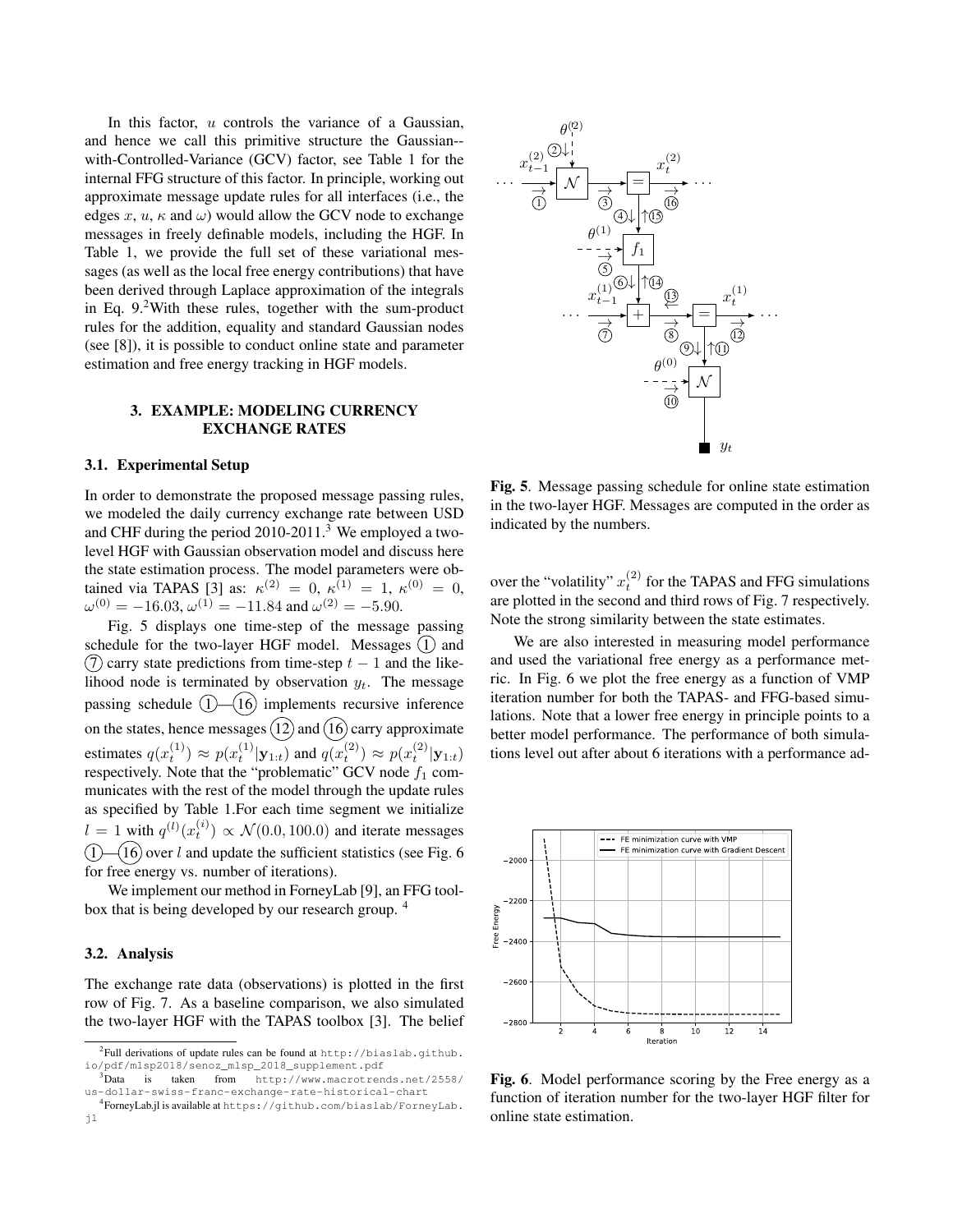In this factor,  $u$  controls the variance of a Gaussian, and hence we call this primitive structure the Gaussian- with-Controlled-Variance (GCV) factor, see Table 1 for the internal FFG structure of this factor. In principle, working out approximate message update rules for all interfaces (i.e., the edges x, u,  $\kappa$  and  $\omega$ ) would allow the GCV node to exchange messages in freely definable models, including the HGF. In Table 1, we provide the full set of these variational messages (as well as the local free energy contributions) that have been derived through Laplace approximation of the integrals in Eq. 9.2With these rules, together with the sum-product rules for the addition, equality and standard Gaussian nodes (see [8]), it is possible to conduct online state and parameter estimation and free energy tracking in HGF models.

## 3. EXAMPLE: MODELING CURRENCY EXCHANGE RATES

#### 3.1. Experimental Setup

In order to demonstrate the proposed message passing rules, we modeled the daily currency exchange rate between USD and CHF during the period 2010-2011.<sup>3</sup> We employed a twolevel HGF with Gaussian observation model and discuss here the state estimation process. The model parameters were obtained via TAPAS [3] as:  $\kappa^{(2)} = 0$ ,  $\kappa^{(1)} = 1$ ,  $\kappa^{(0)} = 0$ ,  $\omega^{(0)} = -16.03, \omega^{(1)} = -11.84$  and  $\omega^{(2)} = -5.90$ .

Fig. 5 displays one time-step of the message passing schedule for the two-layer HGF model. Messages  $(1)$  and  $(7)$  carry state predictions from time-step  $t - 1$  and the likelihood node is terminated by observation  $y_t$ . The message passing schedule  $(1)$ — $(16)$  implements recursive inference on the states, hence messages  $(12)$  and  $(16)$  carry approximate estimates  $q(x_t^{(1)}) \approx p(x_t^{(1)} | \mathbf{y}_{1:t})$  and  $q(x_t^{(2)}) \approx p(x_t^{(2)} | \mathbf{y}_{1:t})$ respectively. Note that the "problematic"  $\text{GCV}$  node  $f_1$  communicates with the rest of the model through the update rules as specified by Table 1.For each time segment we initialize  $l = 1$  with  $q^{(l)}(x_t^{(i)}) \propto \mathcal{N}(0.0, 100.0)$  and iterate messages  $(1)$  –  $(16)$  over l and update the sufficient statistics (see Fig. 6) for free energy vs. number of iterations).

We implement our method in ForneyLab [9], an FFG toolbox that is being developed by our research group. <sup>4</sup>

#### 3.2. Analysis

The exchange rate data (observations) is plotted in the first row of Fig. 7. As a baseline comparison, we also simulated the two-layer HGF with the TAPAS toolbox [3]. The belief



Fig. 5. Message passing schedule for online state estimation in the two-layer HGF. Messages are computed in the order as indicated by the numbers.

over the "volatility"  $x_t^{(2)}$  for the TAPAS and FFG simulations are plotted in the second and third rows of Fig. 7 respectively. Note the strong similarity between the state estimates.

We are also interested in measuring model performance and used the variational free energy as a performance metric. In Fig. 6 we plot the free energy as a function of VMP iteration number for both the TAPAS- and FFG-based simulations. Note that a lower free energy in principle points to a better model performance. The performance of both simulations level out after about 6 iterations with a performance ad-



Fig. 6. Model performance scoring by the Free energy as a function of iteration number for the two-layer HGF filter for online state estimation.

 $^{2}$ Full derivations of update rules can be found at http://biaslab.github. io/pdf/mlsp2018/senoz\_mlsp\_2018\_supplement.pdf

<sup>3</sup>Data is taken from http://www.macrotrends.net/2558/ us-dollar-swiss-franc-exchange-rate-historical-chart

<sup>4</sup> ForneyLab.jl is available at https://github.com/biaslab/ForneyLab. jl